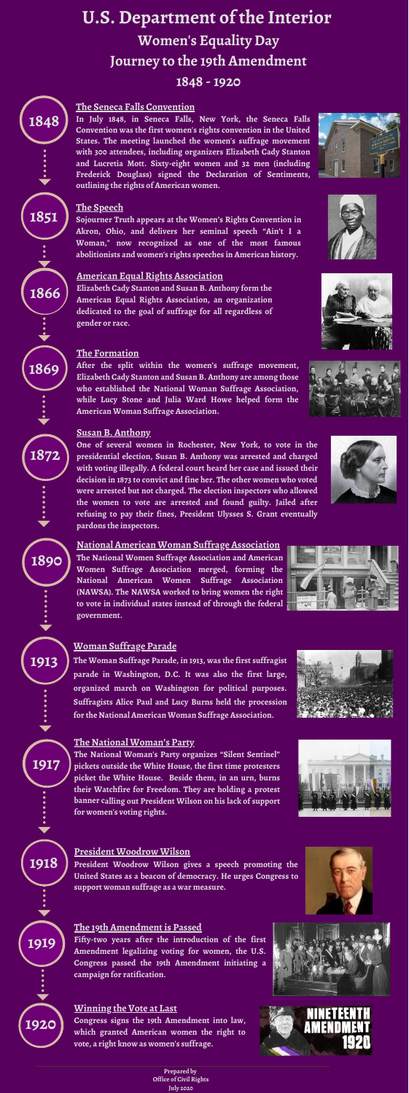## **U.S. Department of the Interior Women's Equality Day Journey to the 19th Amendment 1848 - 1920**

## **The Seneca Falls Convention**

**1913**

**1917**









**1869**

**1866**

# **1851**



**1848**

**1920**

**In July 1848, in Seneca Falls, New York, the Seneca Falls Convention was the first women's rights convention in the United States. The meeting launched the women's suffrage movement with 300 attendees, including organizers Elizabeth Cady Stanton and Lucretia Mott. Sixty-eight women and 32 men (including Frederick Douglass) signed the Declaration of Sentiments, outlining the rights of American women.**



## **The Speech**

**Sojourner Truth appears at the Women's Rights Convention in Akron, Ohio, and delivers her seminal speech "Ain't I a Woman," now recognized as one of the most famous abolitionists and women's rights speeches in American history.**

#### **American Equal Rights Association**

**Elizabeth Cady Stanton and Susan B. Anthony form the American Equal Rights Association, an organization dedicated to the goal of suffrage for all regardless of gender or race.**

## **The Formation**

**After the split within the women's suffrage movement, Elizabeth Cady Stanton and Susan B. Anthony are among those who established the National Woman Suffrage Association, while Lucy Stone and Julia Ward Howe helped form the American Woman Suffrage Association.**



## **Susan B. Anthony**

**One of several women in Rochester, New York, to vote in the presidential election, Susan B. Anthony was arrested and charged with voting illegally. A federal court heard her case and issued their decision in 1873 to convict and fine her. The other women who voted were arrested but not charged. The election inspectors who allowed the women to vote are arrested and found guilty. Jailed after refusing to pay their fines, President Ulysses S. Grant eventually pardons the inspectors.**

## **National American Woman Suffrage Association**

**The National Women Suffrage Association and American Women Suffrage Association merged, forming the National American Women Suffrage Association (NAWSA). The NAWSA worked to bring women the right**



**to vote in individual states instead of through the federal government.**

## **Woman Suffrage Parade**

**The Woman Suffrage Parade, in 1913, was the first suffragist parade in Washington, D.C. It was also the first large, organized march on Washington for political purposes. Suffragists Alice Paul and Lucy Burns held the procession for the National American Woman Suffrage Association.**

### **The National Woman's Party**

**The National Woman's Party organizes "Silent Sentinel" pickets outside the White House, the first time protesters picket the White House. Beside them, in an urn, burns their Watchfire for Freedom. They are holding a protest banner calling out President Wilson on his lack of support for women's voting rights.**

## **President Woodrow Wilson**

**President Woodrow Wilson gives a speech promoting the United States as a beacon of democracy. He urges Congress to support woman suffrage as a war measure.**

#### **The 19th Amendment is Passed**

**Fifty-two years after the introduction of the first Amendment legalizing voting for women, the U.S. Congress passed the 19th Amendment initiating a campaign for ratification.**

## **Winning the Vote at Last**

**Congress signs the 19th Amendment into law, which granted American women the right to vote, a right know as women's suffrage.**

> **Prepared by Office of Civil Rights July 2020**